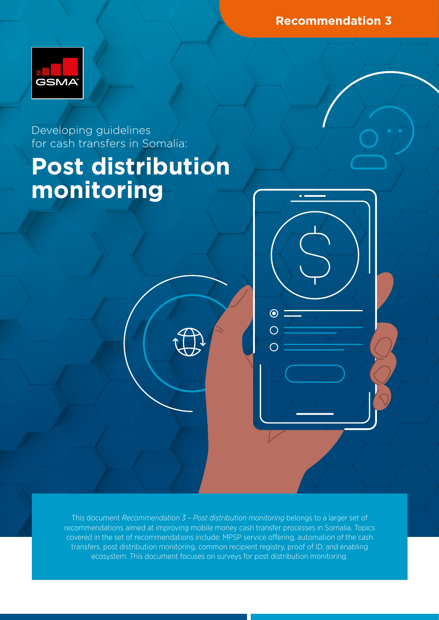**Recommendation 3**



Developing guidelines for cash transfers in Somalia:

# **Post distribution monitoring**

This document *Recommendation 3 – Post distribution monitoring* belongs to a larger set of recommendations aimed at improving mobile money cash transfer processes in Somalia. Topics covered in the set of recommendations include: MPSP service offering, automation of the cash transfers, post distribution monitoring, common recipient registry, proof of ID, and enabling ecosystem. This document focuses on surveys for post distribution monitoring.

 $\odot$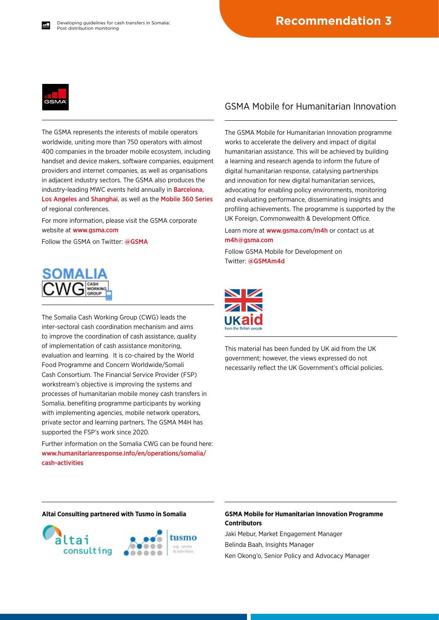

The GSMA represents the interests of mobile operators worldwide, uniting more than 750 operators with almost 400 companies in the broader mobile ecosystem, including handset and device makers, software companies, equipment providers and internet companies, as well as organisations in adjacent industry sectors. The GSMA also produces the industry-leading MWC events held annually in [Barcelona](https://www.mwcbarcelona.com), [Los Angeles](https://www.mwclosangeles.com/home1/) and [Shanghai](https://www.mwcshanghai.com), as well as the [Mobile 360 Series](https://www.mobile360series.com) of regional conferences.

For more information, please visit the GSMA corporate website at [www.gsma.com](https://www.gsma.com)

Follow the GSMA on Twitter: [@GSMA](https://twitter.com/gsma)



The Somalia Cash Working Group (CWG) leads the inter-sectoral cash coordination mechanism and aims to improve the coordination of cash assistance, quality of implementation of cash assistance monitoring, evaluation and learning. It is co-chaired by the World Food Programme and Concern Worldwide/Somali Cash Consortium. The Financial Service Provider (FSP) workstream's objective is improving the systems and processes of humanitarian mobile money cash transfers in Somalia, benefiting programme participants by working with implementing agencies, mobile network operators, private sector and learning partners. The GSMA M4H has supported the FSP's work since 2020.

Further information on the Somalia CWG can be found here: [www.humanitarianresponse.info/en/operations/somalia/](https://www.humanitarianresponse.info/en/operations/somalia/cash-activities) [cash-activities](https://www.humanitarianresponse.info/en/operations/somalia/cash-activities)

#### GSMA Mobile for Humanitarian Innovation

The GSMA Mobile for Humanitarian Innovation programme works to accelerate the delivery and impact of digital humanitarian assistance. This will be achieved by building a learning and research agenda to inform the future of digital humanitarian response, catalysing partnerships and innovation for new digital humanitarian services, advocating for enabling policy environments, monitoring and evaluating performance, disseminating insights and profiling achievements. The programme is supported by the UK Foreign, Commonwealth & Development Office.

Learn more at [www.gsma.com/m4h](https://www.gsma.com/mobilefordevelopment/mobile-for-humanitarian-innovation/) or contact us at [m4h@gsma.com](mailto:m4h%40gsma.com?subject=) 

Follow GSMA Mobile for Development on Twitter: [@GSMAm4d](https://twitter.com/GSMAm4d)



This material has been funded by UK aid from the UK government; however, the views expressed do not necessarily reflect the UK Government's official policies.



#### **Altai Consulting partnered with Tusmo in Somalia GSMA Mobile for Humanitarian Innovation Programme Contributors**

Jaki Mebur, Market Engagement Manager Belinda Baah, Insights Manager Ken Okong'o, Senior Policy and Advocacy Manager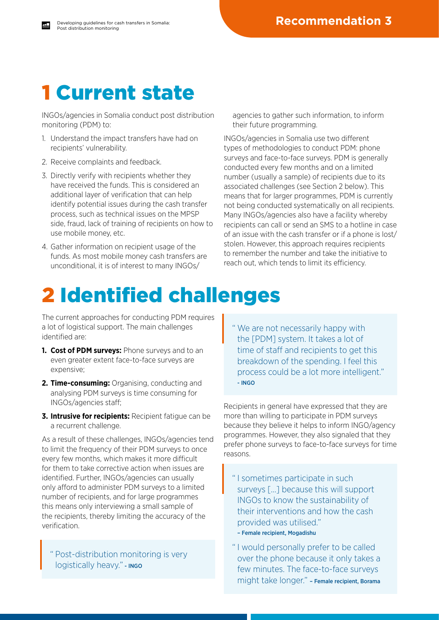### 1 Current state

INGOs/agencies in Somalia conduct post distribution monitoring (PDM) to:

- 1. Understand the impact transfers have had on recipients' vulnerability.
- 2. Receive complaints and feedback.
- 3. Directly verify with recipients whether they have received the funds. This is considered an additional layer of verification that can help identify potential issues during the cash transfer process, such as technical issues on the MPSP side, fraud, lack of training of recipients on how to use mobile money, etc.
- 4. Gather information on recipient usage of the funds. As most mobile money cash transfers are unconditional, it is of interest to many INGOs/

agencies to gather such information, to inform their future programming.

INGOs/agencies in Somalia use two different types of methodologies to conduct PDM: phone surveys and face-to-face surveys. PDM is generally conducted every few months and on a limited number (usually a sample) of recipients due to its associated challenges (see Section 2 below). This means that for larger programmes, PDM is currently not being conducted systematically on all recipients. Many INGOs/agencies also have a facility whereby recipients can call or send an SMS to a hotline in case of an issue with the cash transfer or if a phone is lost/ stolen. However, this approach requires recipients to remember the number and take the initiative to reach out, which tends to limit its efficiency.

## 2 Identified challenges

The current approaches for conducting PDM requires a lot of logistical support. The main challenges identified are:

- **1. Cost of PDM surveys:** Phone surveys and to an even greater extent face-to-face surveys are expensive;
- **2. Time-consuming:** Organising, conducting and analysing PDM surveys is time consuming for INGOs/agencies staff;
- **3. Intrusive for recipients:** Recipient fatigue can be a recurrent challenge.

As a result of these challenges, INGOs/agencies tend to limit the frequency of their PDM surveys to once every few months, which makes it more difficult for them to take corrective action when issues are identified. Further, INGOs/agencies can usually only afford to administer PDM surveys to a limited number of recipients, and for large programmes this means only interviewing a small sample of the recipients, thereby limiting the accuracy of the verification.

Post-distribution monitoring is very logistically heavy." - INGO

" We are not necessarily happy with the [PDM] system. It takes a lot of time of staff and recipients to get this breakdown of the spending. I feel this process could be a lot more intelligent." - INGO

Recipients in general have expressed that they are more than willing to participate in PDM surveys because they believe it helps to inform INGO/agency programmes. However, they also signaled that they prefer phone surveys to face-to-face surveys for time reasons.

- " I sometimes participate in such surveys […] because this will support INGOs to know the sustainability of their interventions and how the cash provided was utilised."
- Female recipient, Mogadishu
- " I would personally prefer to be called over the phone because it only takes a few minutes. The face-to-face surveys might take longer." – Female recipient, Borama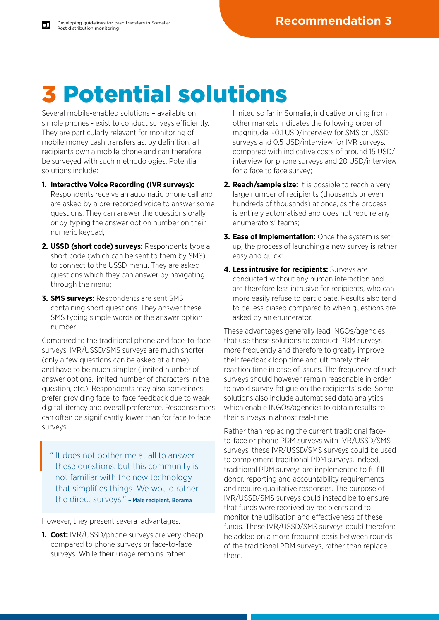# 3 Potential solutions

Several mobile-enabled solutions – available on simple phones - exist to conduct surveys efficiently. They are particularly relevant for monitoring of mobile money cash transfers as, by definition, all recipients own a mobile phone and can therefore be surveyed with such methodologies. Potential solutions include:

- **1. Interactive Voice Recording (IVR surveys):** Respondents receive an automatic phone call and are asked by a pre-recorded voice to answer some questions. They can answer the questions orally or by typing the answer option number on their numeric keypad;
- **2. USSD (short code) surveys:** Respondents type a short code (which can be sent to them by SMS) to connect to the USSD menu. They are asked questions which they can answer by navigating through the menu;
- **3. SMS surveys:** Respondents are sent SMS containing short questions. They answer these SMS typing simple words or the answer option number.

Compared to the traditional phone and face-to-face surveys, IVR/USSD/SMS surveys are much shorter (only a few questions can be asked at a time) and have to be much simpler (limited number of answer options, limited number of characters in the question, etc.). Respondents may also sometimes prefer providing face-to-face feedback due to weak digital literacy and overall preference. Response rates can often be significantly lower than for face to face surveys.

" It does not bother me at all to answer these questions, but this community is not familiar with the new technology that simplifies things. We would rather the direct surveys." – Male recipient, Borama

However, they present several advantages:

**1. Cost:** IVR/USSD/phone surveys are very cheap compared to phone surveys or face-to-face surveys. While their usage remains rather

limited so far in Somalia, indicative pricing from other markets indicates the following order of magnitude: ~0.1 USD/interview for SMS or USSD surveys and 0.5 USD/interview for IVR surveys, compared with indicative costs of around 15 USD/ interview for phone surveys and 20 USD/interview for a face to face survey;

- **2. Reach/sample size:** It is possible to reach a very large number of recipients (thousands or even hundreds of thousands) at once, as the process is entirely automatised and does not require any enumerators' teams;
- **3. Ease of implementation:** Once the system is setup, the process of launching a new survey is rather easy and quick;
- **4. Less intrusive for recipients:** Surveys are conducted without any human interaction and are therefore less intrusive for recipients, who can more easily refuse to participate. Results also tend to be less biased compared to when questions are asked by an enumerator.

These advantages generally lead INGOs/agencies that use these solutions to conduct PDM surveys more frequently and therefore to greatly improve their feedback loop time and ultimately their reaction time in case of issues. The frequency of such surveys should however remain reasonable in order to avoid survey fatigue on the recipients' side. Some solutions also include automatised data analytics, which enable INGOs/agencies to obtain results to their surveys in almost real-time.

Rather than replacing the current traditional faceto-face or phone PDM surveys with IVR/USSD/SMS surveys, these IVR/USSD/SMS surveys could be used to complement traditional PDM surveys. Indeed, traditional PDM surveys are implemented to fulfill donor, reporting and accountability requirements and require qualitative responses. The purpose of IVR/USSD/SMS surveys could instead be to ensure that funds were received by recipients and to monitor the utilisation and effectiveness of these funds. These IVR/USSD/SMS surveys could therefore be added on a more frequent basis between rounds of the traditional PDM surveys, rather than replace them.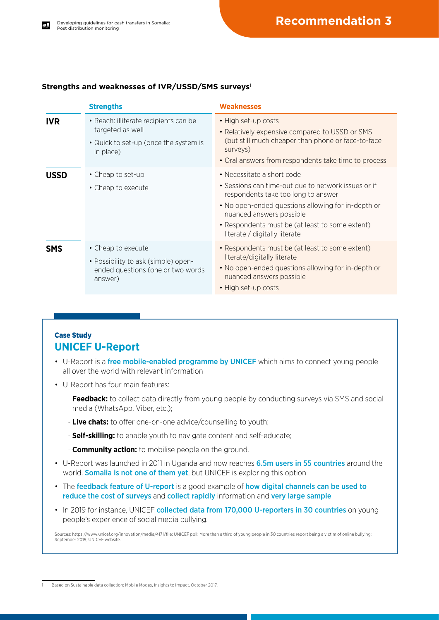#### **Strengths and weaknesses of IVR/USSD/SMS surveys1**

|             | <b>Strengths</b>                                                                                                | <b>Weaknesses</b>                                                                                                                                                                                                                                                                              |
|-------------|-----------------------------------------------------------------------------------------------------------------|------------------------------------------------------------------------------------------------------------------------------------------------------------------------------------------------------------------------------------------------------------------------------------------------|
| <b>IVR</b>  | • Reach: illiterate recipients can be<br>targeted as well<br>• Quick to set-up (once the system is<br>in place) | • High set-up costs<br>• Relatively expensive compared to USSD or SMS<br>(but still much cheaper than phone or face-to-face<br>surveys)<br>• Oral answers from respondents take time to process                                                                                                |
| <b>USSD</b> | • Cheap to set-up<br>• Cheap to execute                                                                         | • Necessitate a short code<br>• Sessions can time-out due to network issues or if<br>respondents take too long to answer<br>• No open-ended questions allowing for in-depth or<br>nuanced answers possible<br>• Respondents must be (at least to some extent)<br>literate / digitally literate |
| <b>SMS</b>  | • Cheap to execute<br>• Possibility to ask (simple) open-<br>ended questions (one or two words<br>answer)       | • Respondents must be (at least to some extent)<br>literate/digitally literate<br>• No open-ended questions allowing for in-depth or<br>nuanced answers possible<br>• High set-up costs                                                                                                        |

#### Case Study **UNICEF U-Report**

- U-Report is a free mobile-enabled programme by UNICEF which aims to connect young people all over the world with relevant information
- U-Report has four main features:
	- **Feedback:** to collect data directly from young people by conducting surveys via SMS and social media (WhatsApp, Viber, etc.);
	- **Live chats:** to offer one-on-one advice/counselling to youth;
	- **Self-skilling:** to enable youth to navigate content and self-educate;
	- **Community action:** to mobilise people on the ground.
- U-Report was launched in 2011 in Uganda and now reaches 6.5m users in 55 countries around the world. **Somalia is not one of them yet**, but UNICEF is exploring this option
- The feedback feature of U-report is a good example of how digital channels can be used to reduce the cost of surveys and collect rapidly information and very large sample
- In 2019 for instance, UNICEF collected data from 170,000 U-reporters in 30 countries on young people's experience of social media bullying.

Sources:<https://www.unicef.org/innovation/media/4171/file>; UNICEF poll: More than a third of young people in 30 countries report being a victim of online bullying; September 2019, UNICEF website.

Based on Sustainable data collection: Mobile Modes, Insights to Impact, October 2017.